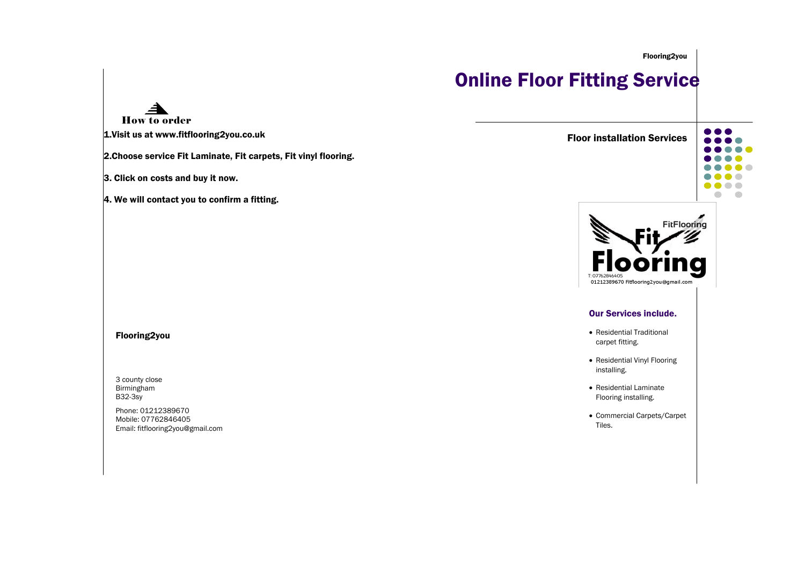Flooring2you

# **Online Floor Fitting Service**

How to order

1.Visit us at www.fitflooring2you.co.uk

2.Choose service Fit Laminate, Fit carpets, Fit vinyl flooring.

3. Click on costs and buy it now.

4. We will contact you to confirm a fitting.

### Flooring2you

3 county close Birmingham B32-3sy

Phone: 01212389670 Mobile: 07762846405 Email: fitflooring2you@gmail.com







#### Our Services include.

- Residential Traditional carpet fitting.
- Residential Vinyl Flooring installing.
- Residential Laminate Flooring installing.
- Commercial Carpets/Carpet Tiles.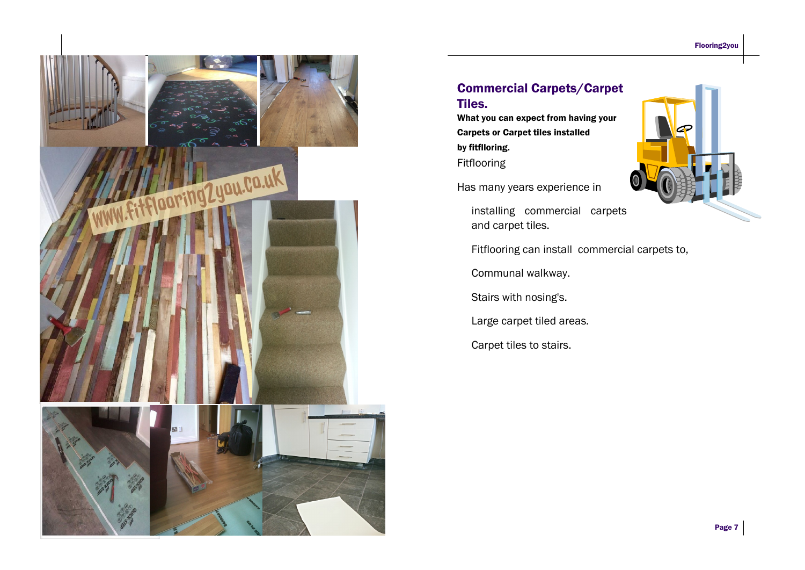

## Commercial Carpets/Carpet Tiles.

What you can expect from having your Carpets or Carpet tiles installed by fitflloring. Fitflooring

Has many years experience in

installing commercial carpets and carpet tiles.



Fitflooring can install commercial carpets to,

Communal walkway.

Stairs with nosing's.

Large carpet tiled areas.

Carpet tiles to stairs.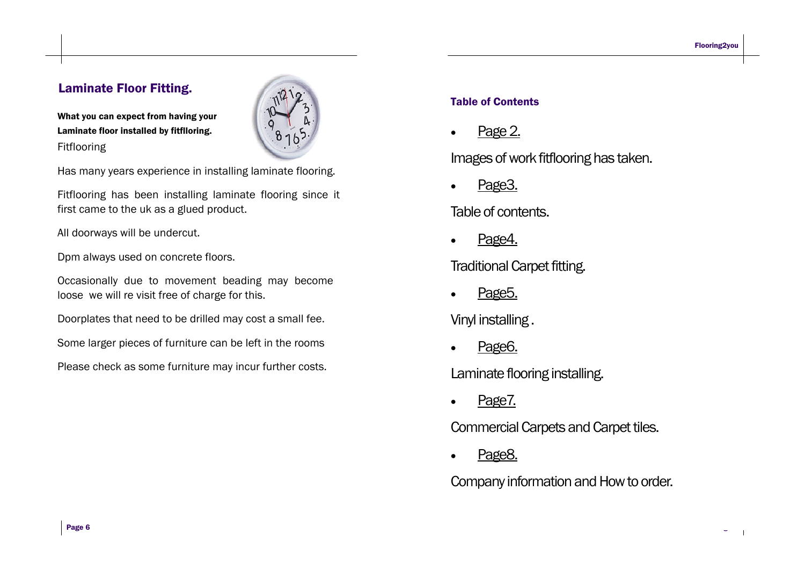Page 3

 $\blacksquare$ 

# Laminate Floor Fitting.

What you can expect from having your Laminate floor installed by fitflloring. Fitflooring



Has many years experience in installing laminate flooring.

Fitflooring has been installing laminate flooring since it first came to the uk as a glued product.

All doorways will be undercut.

Dpm always used on concrete floors.

Occasionally due to movement beading may become loose we will re visit free of charge for this.

Doorplates that need to be drilled may cost a small fee.

Some larger pieces of furniture can be left in the rooms

Please check as some furniture may incur further costs.

# Table of Contents

Page 2.

Images of work fitflooring has taken.

Page<sub>3</sub>

Table of contents.

Page4.

Traditional Carpet fitting.

Page5.

Vinyl installing .

Page6.

Laminate flooring installing.

Page7.

Commercial Carpets and Carpet tiles.

· Page8.

Company information and How to order.